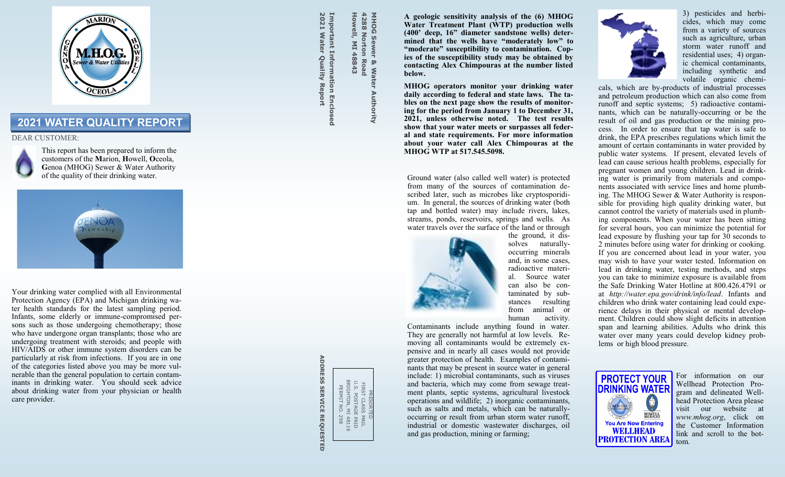

# **2021 WATER QUALITY REPORT**

# DEAR CUSTOMER:



This report has been prepared to inform the customers of the **M**arion, **H**owell, **O**ceola, **G**enoa (MHOG) Sewer & Water Authority of the quality of their drinking water.



Your drinking water complied with all Environmental Protection Agency (EPA) and Michigan drinking water health standards for the latest sampling period. Infants, some elderly or immune -compromised persons such as those undergoing chemotherapy; those who have undergone organ transplants; those who are undergoing treatment with steroids; and people with HIV/AIDS or other immune system disorders can be particularly at risk from infections. If you are in one of the categories listed above you may be more vulnerable than the general population to certain contam inants in drinking water. You should seek advice about drinking water from your physician or health care provider.

2021 Water Quality Report **2021 Water Quality Report** Important Information Enclosed **Important Information Enclosed**

**Howell, MI 48843 4288 Norton Road**

**Howell, MI 48843** 

4288 **DOHN** 

**Norton Road** 

**MHOG Sewer & Water Authority**

Sewer & Water Authority

**A geologic sensitivity analysis of the (6) MHOG Water Treatment Plant (WTP) production wells (400' deep, 16" diameter sandstone wells) determined that the wells have "moderately low" to "moderate" susceptibility to contamination. Copies of the susceptibility study may be obtained by contacting Alex Chimpouras at the number listed below.**

**MHOG operators monitor your drinking water daily according to federal and state laws. The tables on the next page show the results of monitoring for the period from January 1 to December 31, 2021, unless otherwise noted. The test results show that your water meets or surpasses all federal and state requirements. For more information about your water call Alex Chimpouras at the MHOG WTP at 517.545.5098.**

Ground water (also called well water) is protected from many of the sources of contamination described later, such as microbes like cryptosporidium. In general, the sources of drinking water (both tap and bottled water) may include rivers, lakes, streams, ponds, reservoirs, springs and wells. As water travels over the surface of the land or through



Contaminants include anything found in water. They are generally not harmful at low levels. Removing all contaminants would be extremely expensive and in nearly all cases would not provide greater protection of health. Examples of contaminants that may be present in source water in general include: 1) microbial contaminants, such as viruses and bacteria, which may come from sewage treatment plants, septic systems, agricultural livestock operations and wildlife; 2) inorganic contaminants, such as salts and metals, which can be naturally occurring or result from urban storm water runoff, industrial or domestic wastewater discharges, oil and gas production, mining or farming;



3) pesticides and herbicides, which may come from a variety of sources such as agriculture, urban storm water runoff and residential uses; 4) organic chemical contaminants, including synthetic and volatile organic chemi-

cals, which are by-products of industrial processes and petroleum production which can also come from runoff and septic systems; 5) radioactive contaminants, which can be naturally-occurring or be the result of oil and gas production or the mining process. In order to ensure that tap water is safe to drink, the EPA prescribes regulations which limit the amount of certain contaminants in water provided by public water systems. If present, elevated levels of lead can cause serious health problems, especially for pregnant women and young children. Lead in drinking water is primarily from materials and components associated with service lines and home plumbing. The MHOG Sewer & Water Authority is responsible for providing high quality drinking water, but cannot control the variety of materials used in plumbing components. When your water has been sitting for several hours, you can minimize the potential for lead exposure by flushing your tap for  $3\dot{0}$  seconds to 2 minutes before using water for drinking or cooking. If you are concerned about lead in your water, you may wish to have your water tested. Information on lead in drinking water, testing methods, and steps you can take to minimize exposure is available from the Safe Drinking Water Hotline at 800.426.4791 or at *http://water.epa.gov/drink/info/lead*. Infants and children who drink water containing lead could experience delays in their physical or mental development. Children could show slight deficits in attention span and learning abilities. Adults who drink this water over many years could develop kidney problems or high blood pressure.



For information on our Wellhead Protection Program and delineated Wellhead Protection Area please visit our website at *www.mhog.org*, click on the Customer Information link and scroll to the bottom.

**ADDRESS SERVICE REQUESTED ADDRESS SERVICE REQUESTED**

PRESORTED U.S. POSTAGE PAID FIRST CLASS MAIL BRIGHTON, MI 48116 PERMIT NO. 298

FIRST CLASS I<br>J.S. POSTAGE<br>RERMIT NO. . .<br>PERMIT NO. . .

5 MAIL<br>E PAID<br>1 48116<br>. 298